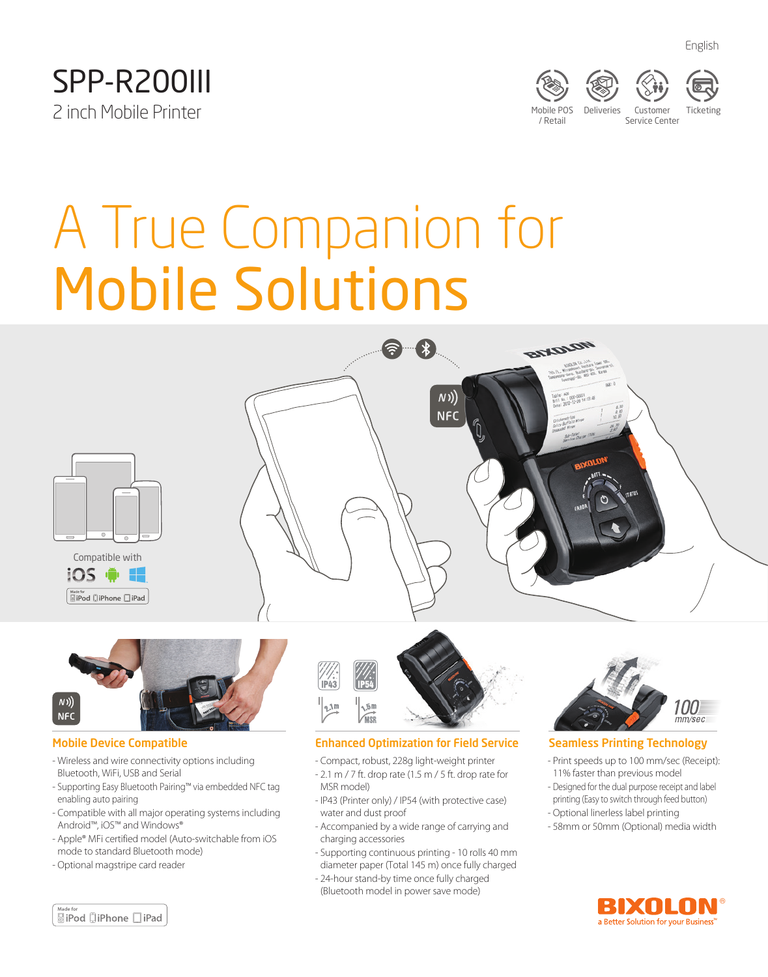



**BLADTON** 



A True Companion for Mobile Solutions







#### Mobile Device Compatible

- Wireless and wire connectivity options including Bluetooth, WiFi, USB and Serial
- Supporting Easy Bluetooth Pairing™ via embedded NFC tag enabling auto pairing
- Compatible with all major operating systems including Android™, iOS™ and Windows®
- Apple® MFi certified model (Auto-switchable from iOS mode to standard Bluetooth mode)
- Optional magstripe card reader



 $N)$ **NFC** 

#### Enhanced Optimization for Field Service

- Compact, robust, 228g light-weight printer
- 2.1 m / 7 ft. drop rate (1.5 m / 5 ft. drop rate for MSR model)
- IP43 (Printer only) / IP54 (with protective case) water and dust proof
- Accompanied by a wide range of carrying and charging accessories
- Supporting continuous printing 10 rolls 40 mm diameter paper (Total 145 m) once fully charged
- 24-hour stand-by time once fully charged (Bluetooth model in power save mode)



#### Seamless Printing Technology

- Print speeds up to 100 mm/sec (Receipt): 11% faster than previous model
- Designed for the dual purpose receipt and label printing (Easy to switch through feed button)
- Optional linerless label printing
- 58mm or 50mm (Optional) media width



**SiPod DiPhone** DiPad